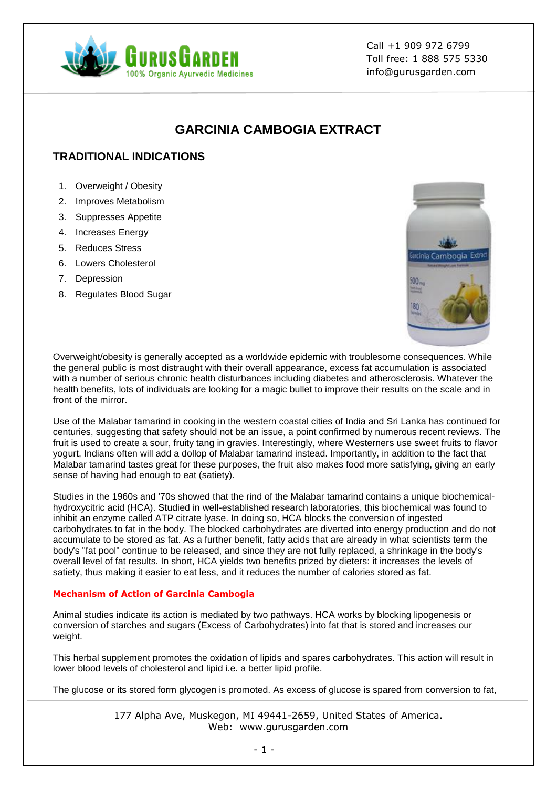

Call +1 909 972 6799 Toll free: 1 888 575 5330 info@gurusgarden.com

# **GARCINIA CAMBOGIA EXTRACT**

## **TRADITIONAL INDICATIONS**

- 1. Overweight / Obesity
- 2. Improves Metabolism
- 3. Suppresses Appetite
- 4. Increases Energy
- 5. Reduces Stress
- 6. Lowers Cholesterol
- 7. Depression
- 8. Regulates Blood Sugar



Overweight/obesity is generally accepted as a worldwide epidemic with troublesome consequences. While the general public is most distraught with their overall appearance, excess fat accumulation is associated with a number of serious chronic health disturbances including diabetes and atherosclerosis. Whatever the health benefits, lots of individuals are looking for a magic bullet to improve their results on the scale and in front of the mirror.

Use of the Malabar tamarind in cooking in the western coastal cities of India and Sri Lanka has continued for centuries, suggesting that safety should not be an issue, a point confirmed by numerous recent reviews. The fruit is used to create a sour, fruity tang in gravies. Interestingly, where Westerners use sweet fruits to flavor yogurt, Indians often will add a dollop of Malabar tamarind instead. Importantly, in addition to the fact that Malabar tamarind tastes great for these purposes, the fruit also makes food more satisfying, giving an early sense of having had enough to eat (satiety).

Studies in the 1960s and '70s showed that the rind of the Malabar tamarind contains a unique biochemicalhydroxycitric acid (HCA). Studied in well-established research laboratories, this biochemical was found to inhibit an enzyme called ATP citrate lyase. In doing so, HCA blocks the conversion of ingested carbohydrates to fat in the body. The blocked carbohydrates are diverted into energy production and do not accumulate to be stored as fat. As a further benefit, fatty acids that are already in what scientists term the body's "fat pool" continue to be released, and since they are not fully replaced, a shrinkage in the body's overall level of fat results. In short, HCA yields two benefits prized by dieters: it increases the levels of satiety, thus making it easier to eat less, and it reduces the number of calories stored as fat.

#### **Mechanism of Action of Garcinia Cambogia**

Animal studies indicate its action is mediated by two pathways. HCA works by blocking lipogenesis or conversion of starches and sugars (Excess of Carbohydrates) into fat that is stored and increases our weight.

This herbal supplement promotes the oxidation of lipids and spares carbohydrates. This action will result in lower blood levels of cholesterol and lipid i.e. a better lipid profile.

The glucose or its stored form glycogen is promoted. As excess of glucose is spared from conversion to fat,

177 Alpha Ave, Muskegon, MI 49441-2659, United States of America. Web: www.gurusgarden.com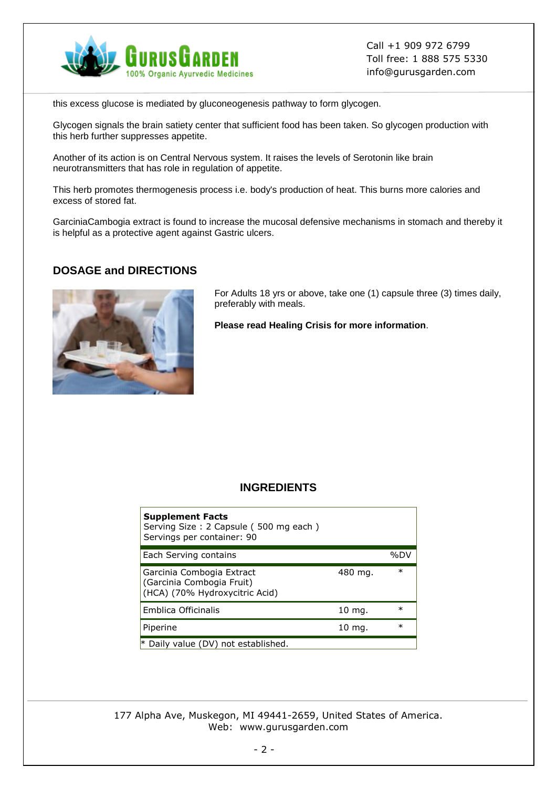

Call +1 909 972 6799 Toll free: 1 888 575 5330 info@gurusgarden.com

this excess glucose is mediated by gluconeogenesis pathway to form glycogen.

Glycogen signals the brain satiety center that sufficient food has been taken. So glycogen production with this herb further suppresses appetite.

Another of its action is on Central Nervous system. It raises the levels of Serotonin like brain neurotransmitters that has role in regulation of appetite.

This herb promotes thermogenesis process i.e. body's production of heat. This burns more calories and excess of stored fat.

GarciniaCambogia extract is found to increase the mucosal defensive mechanisms in stomach and thereby it is helpful as a protective agent against Gastric ulcers.

### **DOSAGE and DIRECTIONS**



For Adults 18 yrs or above, take one (1) capsule three (3) times daily, preferably with meals.

**Please read Healing Crisis for more information**.

## **INGREDIENTS**

| <b>Supplement Facts</b><br>Serving Size: 2 Capsule (500 mg each)<br>Servings per container: 90 |                   |        |
|------------------------------------------------------------------------------------------------|-------------------|--------|
| Each Serving contains                                                                          |                   | %DV    |
| Garcinia Combogia Extract<br>(Garcinia Combogia Fruit)<br>(HCA) (70% Hydroxycitric Acid)       | 480 mg.           | $\ast$ |
| Emblica Officinalis                                                                            | $10 \text{ mg}$ . | $\ast$ |
| Piperine                                                                                       | $10 \text{ mg}$ . | $\ast$ |
| * Daily value (DV) not established.                                                            |                   |        |

177 Alpha Ave, Muskegon, MI 49441-2659, United States of America. Web: www.gurusgarden.com